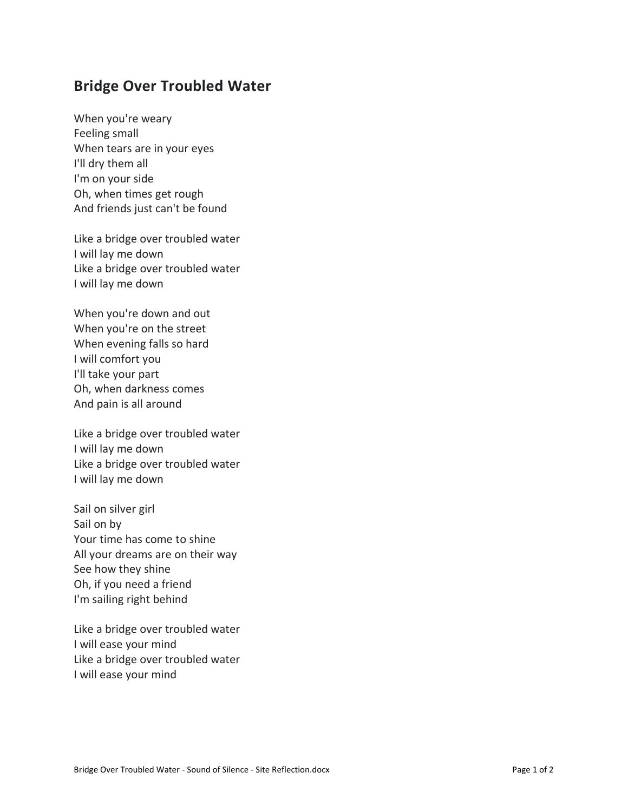## **Bridge Over Troubled Water**

When you're weary Feeling small When tears are in your eyes I'll dry them all I'm on your side Oh, when times get rough And friends just can't be found

Like a bridge over troubled water I will lay me down Like a bridge over troubled water I will lay me down

When you're down and out When you're on the street When evening falls so hard I will comfort you I'll take your part Oh, when darkness comes And pain is all around

Like a bridge over troubled water I will lay me down Like a bridge over troubled water I will lay me down

Sail on silver girl Sail on by Your time has come to shine All your dreams are on their way See how they shine Oh, if you need a friend I'm sailing right behind

Like a bridge over troubled water I will ease your mind Like a bridge over troubled water I will ease your mind